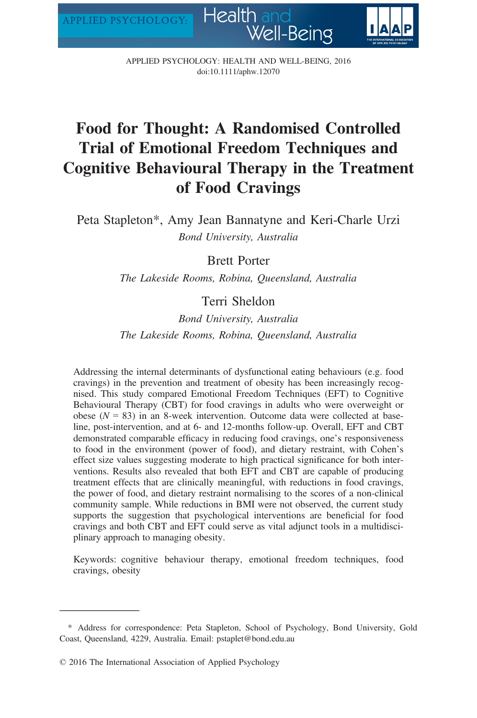

APPLIED PSYCHOLOGY: HEALTH AND WELL-BEING, 2016 doi:10.1111/aphw.12070

Health a

Well-Being

# Food for Thought: A Randomised Controlled Trial of Emotional Freedom Techniques and Cognitive Behavioural Therapy in the Treatment of Food Cravings

Peta Stapleton\*, Amy Jean Bannatyne and Keri-Charle Urzi Bond University, Australia

Brett Porter

The Lakeside Rooms, Robina, Queensland, Australia

### Terri Sheldon

Bond University, Australia The Lakeside Rooms, Robina, Queensland, Australia

Addressing the internal determinants of dysfunctional eating behaviours (e.g. food cravings) in the prevention and treatment of obesity has been increasingly recognised. This study compared Emotional Freedom Techniques (EFT) to Cognitive Behavioural Therapy (CBT) for food cravings in adults who were overweight or obese ( $N = 83$ ) in an 8-week intervention. Outcome data were collected at baseline, post-intervention, and at 6- and 12-months follow-up. Overall, EFT and CBT demonstrated comparable efficacy in reducing food cravings, one's responsiveness to food in the environment (power of food), and dietary restraint, with Cohen's effect size values suggesting moderate to high practical significance for both interventions. Results also revealed that both EFT and CBT are capable of producing treatment effects that are clinically meaningful, with reductions in food cravings, the power of food, and dietary restraint normalising to the scores of a non-clinical community sample. While reductions in BMI were not observed, the current study supports the suggestion that psychological interventions are beneficial for food cravings and both CBT and EFT could serve as vital adjunct tools in a multidisciplinary approach to managing obesity.

Keywords: cognitive behaviour therapy, emotional freedom techniques, food cravings, obesity

<sup>\*</sup> Address for correspondence: Peta Stapleton, School of Psychology, Bond University, Gold Coast, Queensland, 4229, Australia. Email: pstaplet@bond.edu.au

<sup>©</sup> 2016 The International Association of Applied Psychology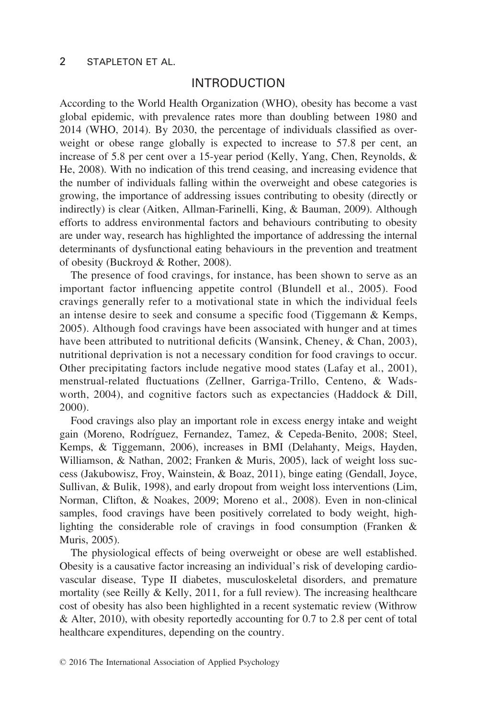### INTRODUCTION

According to the World Health Organization (WHO), obesity has become a vast global epidemic, with prevalence rates more than doubling between 1980 and 2014 (WHO, 2014). By 2030, the percentage of individuals classified as overweight or obese range globally is expected to increase to 57.8 per cent, an increase of 5.8 per cent over a 15-year period (Kelly, Yang, Chen, Reynolds, & He, 2008). With no indication of this trend ceasing, and increasing evidence that the number of individuals falling within the overweight and obese categories is growing, the importance of addressing issues contributing to obesity (directly or indirectly) is clear (Aitken, Allman-Farinelli, King, & Bauman, 2009). Although efforts to address environmental factors and behaviours contributing to obesity are under way, research has highlighted the importance of addressing the internal determinants of dysfunctional eating behaviours in the prevention and treatment of obesity (Buckroyd & Rother, 2008).

The presence of food cravings, for instance, has been shown to serve as an important factor influencing appetite control (Blundell et al., 2005). Food cravings generally refer to a motivational state in which the individual feels an intense desire to seek and consume a specific food (Tiggemann & Kemps, 2005). Although food cravings have been associated with hunger and at times have been attributed to nutritional deficits (Wansink, Cheney, & Chan, 2003), nutritional deprivation is not a necessary condition for food cravings to occur. Other precipitating factors include negative mood states (Lafay et al., 2001), menstrual-related fluctuations (Zellner, Garriga-Trillo, Centeno, & Wadsworth, 2004), and cognitive factors such as expectancies (Haddock & Dill, 2000).

Food cravings also play an important role in excess energy intake and weight gain (Moreno, Rodríguez, Fernandez, Tamez, & Cepeda-Benito, 2008; Steel, Kemps, & Tiggemann, 2006), increases in BMI (Delahanty, Meigs, Hayden, Williamson, & Nathan, 2002; Franken & Muris, 2005), lack of weight loss success (Jakubowisz, Froy, Wainstein, & Boaz, 2011), binge eating (Gendall, Joyce, Sullivan, & Bulik, 1998), and early dropout from weight loss interventions (Lim, Norman, Clifton, & Noakes, 2009; Moreno et al., 2008). Even in non-clinical samples, food cravings have been positively correlated to body weight, highlighting the considerable role of cravings in food consumption (Franken & Muris, 2005).

The physiological effects of being overweight or obese are well established. Obesity is a causative factor increasing an individual's risk of developing cardiovascular disease, Type II diabetes, musculoskeletal disorders, and premature mortality (see Reilly & Kelly, 2011, for a full review). The increasing healthcare cost of obesity has also been highlighted in a recent systematic review (Withrow & Alter, 2010), with obesity reportedly accounting for 0.7 to 2.8 per cent of total healthcare expenditures, depending on the country.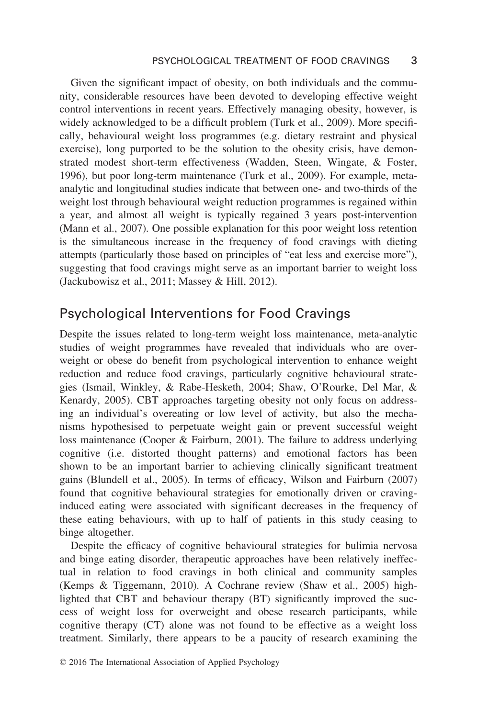#### PSYCHOLOGICAL TREATMENT OF FOOD CRAVINGS 3

Given the significant impact of obesity, on both individuals and the community, considerable resources have been devoted to developing effective weight control interventions in recent years. Effectively managing obesity, however, is widely acknowledged to be a difficult problem (Turk et al., 2009). More specifically, behavioural weight loss programmes (e.g. dietary restraint and physical exercise), long purported to be the solution to the obesity crisis, have demonstrated modest short-term effectiveness (Wadden, Steen, Wingate, & Foster, 1996), but poor long-term maintenance (Turk et al., 2009). For example, metaanalytic and longitudinal studies indicate that between one- and two-thirds of the weight lost through behavioural weight reduction programmes is regained within a year, and almost all weight is typically regained 3 years post-intervention (Mann et al., 2007). One possible explanation for this poor weight loss retention is the simultaneous increase in the frequency of food cravings with dieting attempts (particularly those based on principles of "eat less and exercise more"), suggesting that food cravings might serve as an important barrier to weight loss (Jackubowisz et al., 2011; Massey & Hill, 2012).

# Psychological Interventions for Food Cravings

Despite the issues related to long-term weight loss maintenance, meta-analytic studies of weight programmes have revealed that individuals who are overweight or obese do benefit from psychological intervention to enhance weight reduction and reduce food cravings, particularly cognitive behavioural strategies (Ismail, Winkley, & Rabe-Hesketh, 2004; Shaw, O'Rourke, Del Mar, & Kenardy, 2005). CBT approaches targeting obesity not only focus on addressing an individual's overeating or low level of activity, but also the mechanisms hypothesised to perpetuate weight gain or prevent successful weight loss maintenance (Cooper & Fairburn, 2001). The failure to address underlying cognitive (i.e. distorted thought patterns) and emotional factors has been shown to be an important barrier to achieving clinically significant treatment gains (Blundell et al., 2005). In terms of efficacy, Wilson and Fairburn (2007) found that cognitive behavioural strategies for emotionally driven or cravinginduced eating were associated with significant decreases in the frequency of these eating behaviours, with up to half of patients in this study ceasing to binge altogether.

Despite the efficacy of cognitive behavioural strategies for bulimia nervosa and binge eating disorder, therapeutic approaches have been relatively ineffectual in relation to food cravings in both clinical and community samples (Kemps & Tiggemann, 2010). A Cochrane review (Shaw et al., 2005) highlighted that CBT and behaviour therapy (BT) significantly improved the success of weight loss for overweight and obese research participants, while cognitive therapy (CT) alone was not found to be effective as a weight loss treatment. Similarly, there appears to be a paucity of research examining the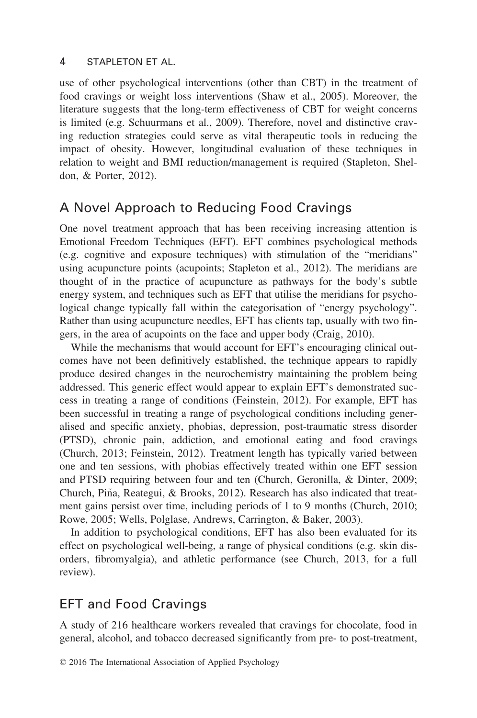use of other psychological interventions (other than CBT) in the treatment of food cravings or weight loss interventions (Shaw et al., 2005). Moreover, the literature suggests that the long-term effectiveness of CBT for weight concerns is limited (e.g. Schuurmans et al., 2009). Therefore, novel and distinctive craving reduction strategies could serve as vital therapeutic tools in reducing the impact of obesity. However, longitudinal evaluation of these techniques in relation to weight and BMI reduction/management is required (Stapleton, Sheldon, & Porter, 2012).

# A Novel Approach to Reducing Food Cravings

One novel treatment approach that has been receiving increasing attention is Emotional Freedom Techniques (EFT). EFT combines psychological methods (e.g. cognitive and exposure techniques) with stimulation of the "meridians" using acupuncture points (acupoints; Stapleton et al., 2012). The meridians are thought of in the practice of acupuncture as pathways for the body's subtle energy system, and techniques such as EFT that utilise the meridians for psychological change typically fall within the categorisation of "energy psychology". Rather than using acupuncture needles, EFT has clients tap, usually with two fingers, in the area of acupoints on the face and upper body (Craig, 2010).

While the mechanisms that would account for EFT's encouraging clinical outcomes have not been definitively established, the technique appears to rapidly produce desired changes in the neurochemistry maintaining the problem being addressed. This generic effect would appear to explain EFT's demonstrated success in treating a range of conditions (Feinstein, 2012). For example, EFT has been successful in treating a range of psychological conditions including generalised and specific anxiety, phobias, depression, post-traumatic stress disorder (PTSD), chronic pain, addiction, and emotional eating and food cravings (Church, 2013; Feinstein, 2012). Treatment length has typically varied between one and ten sessions, with phobias effectively treated within one EFT session and PTSD requiring between four and ten (Church, Geronilla, & Dinter, 2009; Church, Piña, Reategui, & Brooks, 2012). Research has also indicated that treatment gains persist over time, including periods of 1 to 9 months (Church, 2010; Rowe, 2005; Wells, Polglase, Andrews, Carrington, & Baker, 2003).

In addition to psychological conditions, EFT has also been evaluated for its effect on psychological well-being, a range of physical conditions (e.g. skin disorders, fibromyalgia), and athletic performance (see Church, 2013, for a full review).

# EFT and Food Cravings

A study of 216 healthcare workers revealed that cravings for chocolate, food in general, alcohol, and tobacco decreased significantly from pre- to post-treatment,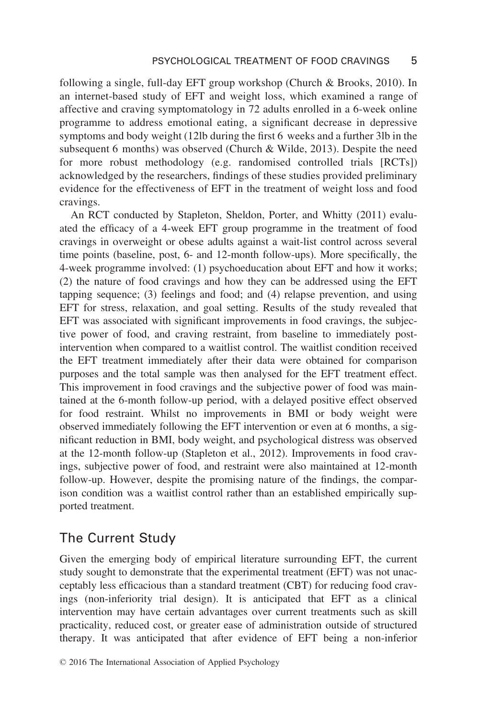following a single, full-day EFT group workshop (Church & Brooks, 2010). In an internet-based study of EFT and weight loss, which examined a range of affective and craving symptomatology in 72 adults enrolled in a 6-week online programme to address emotional eating, a significant decrease in depressive symptoms and body weight (12lb during the first 6 weeks and a further 3lb in the subsequent 6 months) was observed (Church & Wilde, 2013). Despite the need for more robust methodology (e.g. randomised controlled trials [RCTs]) acknowledged by the researchers, findings of these studies provided preliminary evidence for the effectiveness of EFT in the treatment of weight loss and food cravings.

An RCT conducted by Stapleton, Sheldon, Porter, and Whitty (2011) evaluated the efficacy of a 4-week EFT group programme in the treatment of food cravings in overweight or obese adults against a wait-list control across several time points (baseline, post, 6- and 12-month follow-ups). More specifically, the 4-week programme involved: (1) psychoeducation about EFT and how it works; (2) the nature of food cravings and how they can be addressed using the EFT tapping sequence; (3) feelings and food; and (4) relapse prevention, and using EFT for stress, relaxation, and goal setting. Results of the study revealed that EFT was associated with significant improvements in food cravings, the subjective power of food, and craving restraint, from baseline to immediately postintervention when compared to a waitlist control. The waitlist condition received the EFT treatment immediately after their data were obtained for comparison purposes and the total sample was then analysed for the EFT treatment effect. This improvement in food cravings and the subjective power of food was maintained at the 6-month follow-up period, with a delayed positive effect observed for food restraint. Whilst no improvements in BMI or body weight were observed immediately following the EFT intervention or even at 6 months, a significant reduction in BMI, body weight, and psychological distress was observed at the 12-month follow-up (Stapleton et al., 2012). Improvements in food cravings, subjective power of food, and restraint were also maintained at 12-month follow-up. However, despite the promising nature of the findings, the comparison condition was a waitlist control rather than an established empirically supported treatment.

### The Current Study

Given the emerging body of empirical literature surrounding EFT, the current study sought to demonstrate that the experimental treatment (EFT) was not unacceptably less efficacious than a standard treatment (CBT) for reducing food cravings (non-inferiority trial design). It is anticipated that EFT as a clinical intervention may have certain advantages over current treatments such as skill practicality, reduced cost, or greater ease of administration outside of structured therapy. It was anticipated that after evidence of EFT being a non-inferior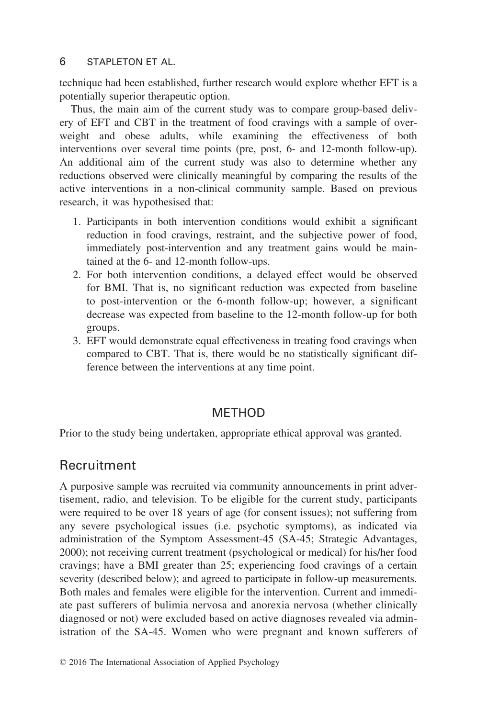technique had been established, further research would explore whether EFT is a potentially superior therapeutic option.

Thus, the main aim of the current study was to compare group-based delivery of EFT and CBT in the treatment of food cravings with a sample of overweight and obese adults, while examining the effectiveness of both interventions over several time points (pre, post, 6- and 12-month follow-up). An additional aim of the current study was also to determine whether any reductions observed were clinically meaningful by comparing the results of the active interventions in a non-clinical community sample. Based on previous research, it was hypothesised that:

- 1. Participants in both intervention conditions would exhibit a significant reduction in food cravings, restraint, and the subjective power of food, immediately post-intervention and any treatment gains would be maintained at the 6- and 12-month follow-ups.
- 2. For both intervention conditions, a delayed effect would be observed for BMI. That is, no significant reduction was expected from baseline to post-intervention or the 6-month follow-up; however, a significant decrease was expected from baseline to the 12-month follow-up for both groups.
- 3. EFT would demonstrate equal effectiveness in treating food cravings when compared to CBT. That is, there would be no statistically significant difference between the interventions at any time point.

### METHOD

Prior to the study being undertaken, appropriate ethical approval was granted.

# Recruitment

A purposive sample was recruited via community announcements in print advertisement, radio, and television. To be eligible for the current study, participants were required to be over 18 years of age (for consent issues); not suffering from any severe psychological issues (i.e. psychotic symptoms), as indicated via administration of the Symptom Assessment-45 (SA-45; Strategic Advantages, 2000); not receiving current treatment (psychological or medical) for his/her food cravings; have a BMI greater than 25; experiencing food cravings of a certain severity (described below); and agreed to participate in follow-up measurements. Both males and females were eligible for the intervention. Current and immediate past sufferers of bulimia nervosa and anorexia nervosa (whether clinically diagnosed or not) were excluded based on active diagnoses revealed via administration of the SA-45. Women who were pregnant and known sufferers of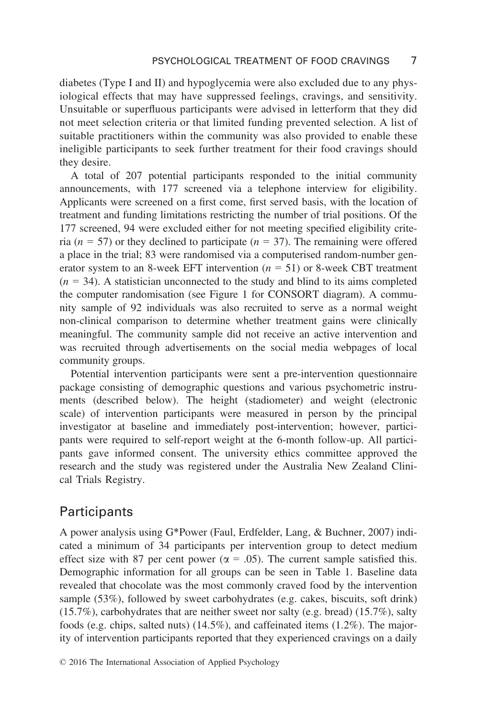diabetes (Type I and II) and hypoglycemia were also excluded due to any physiological effects that may have suppressed feelings, cravings, and sensitivity. Unsuitable or superfluous participants were advised in letterform that they did not meet selection criteria or that limited funding prevented selection. A list of suitable practitioners within the community was also provided to enable these ineligible participants to seek further treatment for their food cravings should they desire.

A total of 207 potential participants responded to the initial community announcements, with 177 screened via a telephone interview for eligibility. Applicants were screened on a first come, first served basis, with the location of treatment and funding limitations restricting the number of trial positions. Of the 177 screened, 94 were excluded either for not meeting specified eligibility criteria ( $n = 57$ ) or they declined to participate ( $n = 37$ ). The remaining were offered a place in the trial; 83 were randomised via a computerised random-number generator system to an 8-week EFT intervention ( $n = 51$ ) or 8-week CBT treatment  $(n = 34)$ . A statistician unconnected to the study and blind to its aims completed the computer randomisation (see Figure 1 for CONSORT diagram). A community sample of 92 individuals was also recruited to serve as a normal weight non-clinical comparison to determine whether treatment gains were clinically meaningful. The community sample did not receive an active intervention and was recruited through advertisements on the social media webpages of local community groups.

Potential intervention participants were sent a pre-intervention questionnaire package consisting of demographic questions and various psychometric instruments (described below). The height (stadiometer) and weight (electronic scale) of intervention participants were measured in person by the principal investigator at baseline and immediately post-intervention; however, participants were required to self-report weight at the 6-month follow-up. All participants gave informed consent. The university ethics committee approved the research and the study was registered under the Australia New Zealand Clinical Trials Registry.

### **Participants**

A power analysis using G\*Power (Faul, Erdfelder, Lang, & Buchner, 2007) indicated a minimum of 34 participants per intervention group to detect medium effect size with 87 per cent power ( $\alpha = .05$ ). The current sample satisfied this. Demographic information for all groups can be seen in Table 1. Baseline data revealed that chocolate was the most commonly craved food by the intervention sample (53%), followed by sweet carbohydrates (e.g. cakes, biscuits, soft drink) (15.7%), carbohydrates that are neither sweet nor salty (e.g. bread) (15.7%), salty foods (e.g. chips, salted nuts) (14.5%), and caffeinated items (1.2%). The majority of intervention participants reported that they experienced cravings on a daily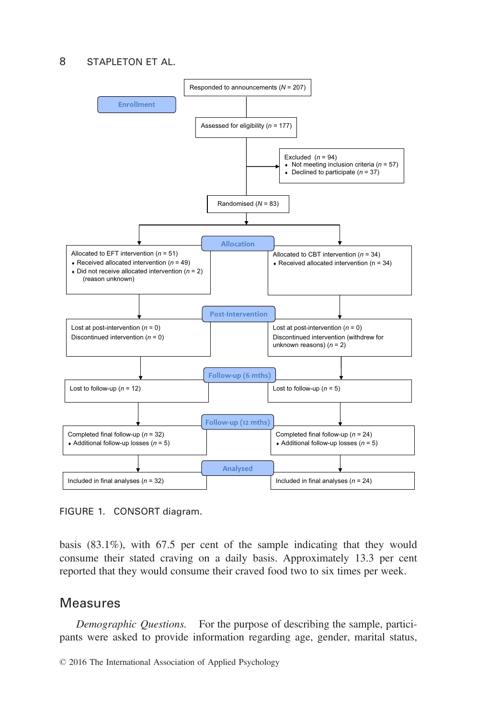

FIGURE 1. CONSORT diagram.

basis (83.1%), with 67.5 per cent of the sample indicating that they would consume their stated craving on a daily basis. Approximately 13.3 per cent reported that they would consume their craved food two to six times per week.

### Measures

Demographic Questions. For the purpose of describing the sample, participants were asked to provide information regarding age, gender, marital status,

© 2016 The International Association of Applied Psychology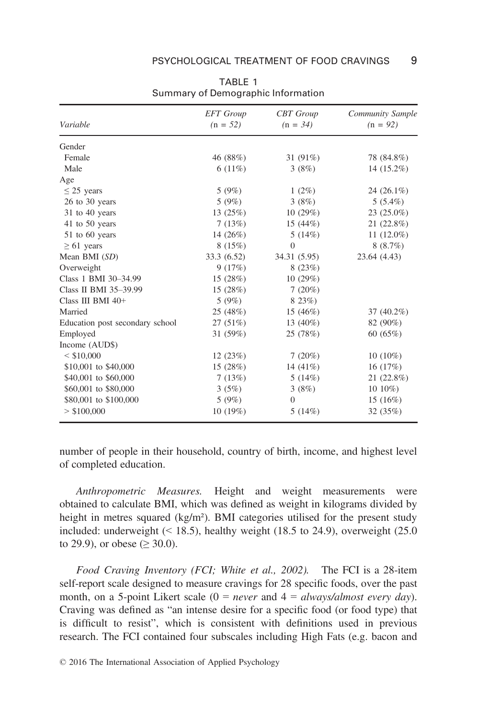|                                 | <b>EFT</b> Group | <b>CBT</b> Group | Community Sample |
|---------------------------------|------------------|------------------|------------------|
| Variable                        | $(n = 52)$       | $(n = 34)$       | $(n = 92)$       |
| Gender                          |                  |                  |                  |
| Female                          | 46 (88%)         | 31 $(91\%)$      | 78 (84.8%)       |
| Male                            | $6(11\%)$        | 3(8%)            | $14(15.2\%)$     |
| Age                             |                  |                  |                  |
| $\leq$ 25 years                 | 5(9%)            | $1(2\%)$         | 24 (26.1%)       |
| 26 to 30 years                  | 5(9%)            | 3(8%)            | $5(5.4\%)$       |
| 31 to 40 years                  | 13(25%)          | 10(29%)          | $23(25.0\%)$     |
| 41 to $50$ years                | 7(13%)           | 15 (44%)         | 21 (22.8%)       |
| 51 to 60 years                  | 14 (26%)         | 5(14%)           | 11 $(12.0\%)$    |
| $\geq 61$ years                 | 8(15%)           | $\overline{0}$   | $8(8.7\%)$       |
| Mean BMI (SD)                   | 33.3 (6.52)      | 34.31 (5.95)     | 23.64 (4.43)     |
| Overweight                      | 9(17%)           | 8(23%)           |                  |
| Class 1 BMI 30-34.99            | 15(28%)          | 10(29%)          |                  |
| Class II BMI 35-39.99           | 15(28%)          | 7(20%)           |                  |
| Class III BMI $40+$             | 5(9%)            | $823\%$          |                  |
| Married                         | 25 (48%)         | 15 (46%)         | $37(40.2\%)$     |
| Education post secondary school | 27(51%)          | 13 (40%)         | 82 (90%)         |
| Employed                        | 31 (59%)         | 25 (78%)         | 60(65%)          |
| Income (AUD\$)                  |                  |                  |                  |
| ${}<$ \$10,000                  | 12(23%)          | 7(20%)           | $10(10\%)$       |
| \$10,001 to \$40,000            | 15(28%)          | 14 $(41\%)$      | 16(17%)          |
| \$40,001 to \$60,000            | 7(13%)           | 5(14%)           | 21 (22.8%)       |
| \$60,001 to \$80,000            | 3(5%)            | 3(8%)            | $10\ 10\%$       |
| \$80,001 to \$100,000           | 5(9%)            | $\overline{0}$   | 15(16%)          |
| > \$100,000                     | 10(19%)          | 5(14%)           | 32 (35%)         |

TABLE 1 Summary of Demographic Information

number of people in their household, country of birth, income, and highest level of completed education.

Anthropometric Measures. Height and weight measurements were obtained to calculate BMI, which was defined as weight in kilograms divided by height in metres squared (kg/m²). BMI categories utilised for the present study included: underweight  $($  < 18.5), healthy weight  $(18.5$  to 24.9), overweight  $(25.0)$ to 29.9), or obese ( $\geq 30.0$ ).

Food Craving Inventory (FCI; White et al., 2002). The FCI is a 28-item self-report scale designed to measure cravings for 28 specific foods, over the past month, on a 5-point Likert scale  $(0 = never$  and  $4 = always/almost every day)$ . Craving was defined as "an intense desire for a specific food (or food type) that is difficult to resist", which is consistent with definitions used in previous research. The FCI contained four subscales including High Fats (e.g. bacon and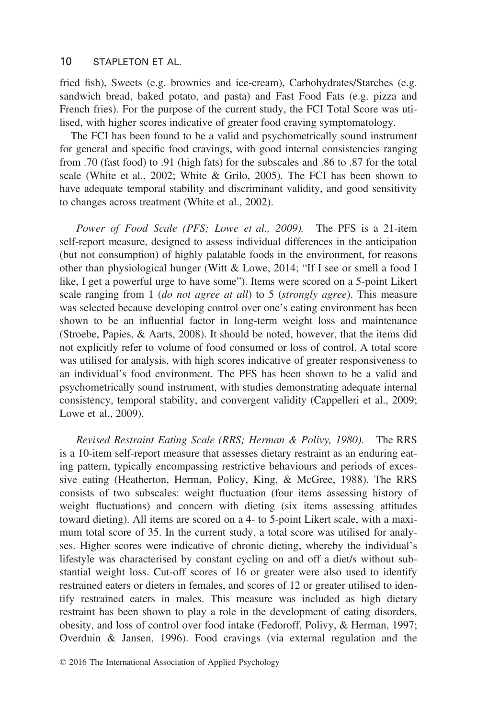fried fish), Sweets (e.g. brownies and ice-cream), Carbohydrates/Starches (e.g. sandwich bread, baked potato, and pasta) and Fast Food Fats (e.g. pizza and French fries). For the purpose of the current study, the FCI Total Score was utilised, with higher scores indicative of greater food craving symptomatology.

The FCI has been found to be a valid and psychometrically sound instrument for general and specific food cravings, with good internal consistencies ranging from .70 (fast food) to .91 (high fats) for the subscales and .86 to .87 for the total scale (White et al., 2002; White & Grilo, 2005). The FCI has been shown to have adequate temporal stability and discriminant validity, and good sensitivity to changes across treatment (White et al., 2002).

Power of Food Scale (PFS; Lowe et al., 2009). The PFS is a 21-item self-report measure, designed to assess individual differences in the anticipation (but not consumption) of highly palatable foods in the environment, for reasons other than physiological hunger (Witt & Lowe, 2014; "If I see or smell a food I like, I get a powerful urge to have some"). Items were scored on a 5-point Likert scale ranging from 1 *(do not agree at all)* to 5 *(strongly agree)*. This measure was selected because developing control over one's eating environment has been shown to be an influential factor in long-term weight loss and maintenance (Stroebe, Papies, & Aarts, 2008). It should be noted, however, that the items did not explicitly refer to volume of food consumed or loss of control. A total score was utilised for analysis, with high scores indicative of greater responsiveness to an individual's food environment. The PFS has been shown to be a valid and psychometrically sound instrument, with studies demonstrating adequate internal consistency, temporal stability, and convergent validity (Cappelleri et al., 2009; Lowe et al., 2009).

Revised Restraint Eating Scale (RRS; Herman & Polivy, 1980). The RRS is a 10-item self-report measure that assesses dietary restraint as an enduring eating pattern, typically encompassing restrictive behaviours and periods of excessive eating (Heatherton, Herman, Policy, King, & McGree, 1988). The RRS consists of two subscales: weight fluctuation (four items assessing history of weight fluctuations) and concern with dieting (six items assessing attitudes toward dieting). All items are scored on a 4- to 5-point Likert scale, with a maximum total score of 35. In the current study, a total score was utilised for analyses. Higher scores were indicative of chronic dieting, whereby the individual's lifestyle was characterised by constant cycling on and off a diet/s without substantial weight loss. Cut-off scores of 16 or greater were also used to identify restrained eaters or dieters in females, and scores of 12 or greater utilised to identify restrained eaters in males. This measure was included as high dietary restraint has been shown to play a role in the development of eating disorders, obesity, and loss of control over food intake (Fedoroff, Polivy, & Herman, 1997; Overduin & Jansen, 1996). Food cravings (via external regulation and the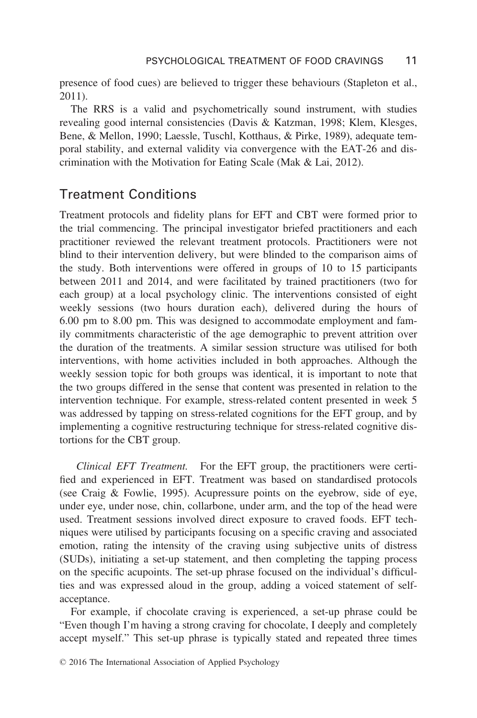presence of food cues) are believed to trigger these behaviours (Stapleton et al., 2011).

The RRS is a valid and psychometrically sound instrument, with studies revealing good internal consistencies (Davis & Katzman, 1998; Klem, Klesges, Bene, & Mellon, 1990; Laessle, Tuschl, Kotthaus, & Pirke, 1989), adequate temporal stability, and external validity via convergence with the EAT-26 and discrimination with the Motivation for Eating Scale (Mak & Lai, 2012).

### Treatment Conditions

Treatment protocols and fidelity plans for EFT and CBT were formed prior to the trial commencing. The principal investigator briefed practitioners and each practitioner reviewed the relevant treatment protocols. Practitioners were not blind to their intervention delivery, but were blinded to the comparison aims of the study. Both interventions were offered in groups of 10 to 15 participants between 2011 and 2014, and were facilitated by trained practitioners (two for each group) at a local psychology clinic. The interventions consisted of eight weekly sessions (two hours duration each), delivered during the hours of 6.00 pm to 8.00 pm. This was designed to accommodate employment and family commitments characteristic of the age demographic to prevent attrition over the duration of the treatments. A similar session structure was utilised for both interventions, with home activities included in both approaches. Although the weekly session topic for both groups was identical, it is important to note that the two groups differed in the sense that content was presented in relation to the intervention technique. For example, stress-related content presented in week 5 was addressed by tapping on stress-related cognitions for the EFT group, and by implementing a cognitive restructuring technique for stress-related cognitive distortions for the CBT group.

Clinical EFT Treatment. For the EFT group, the practitioners were certified and experienced in EFT. Treatment was based on standardised protocols (see Craig & Fowlie, 1995). Acupressure points on the eyebrow, side of eye, under eye, under nose, chin, collarbone, under arm, and the top of the head were used. Treatment sessions involved direct exposure to craved foods. EFT techniques were utilised by participants focusing on a specific craving and associated emotion, rating the intensity of the craving using subjective units of distress (SUDs), initiating a set-up statement, and then completing the tapping process on the specific acupoints. The set-up phrase focused on the individual's difficulties and was expressed aloud in the group, adding a voiced statement of selfacceptance.

For example, if chocolate craving is experienced, a set-up phrase could be "Even though I'm having a strong craving for chocolate, I deeply and completely accept myself." This set-up phrase is typically stated and repeated three times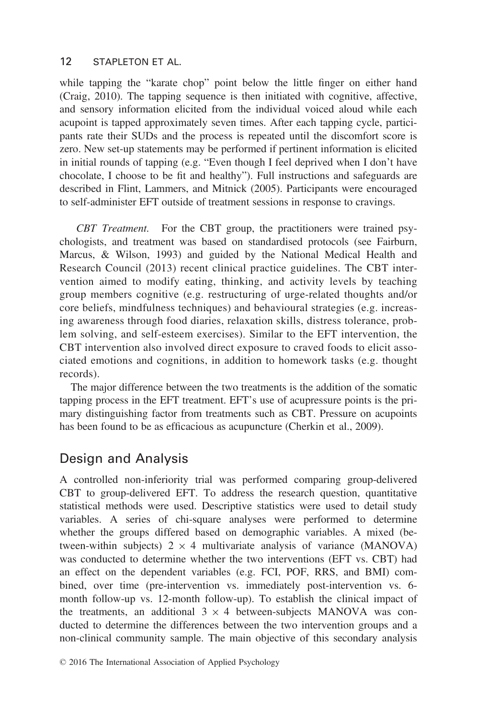while tapping the "karate chop" point below the little finger on either hand (Craig, 2010). The tapping sequence is then initiated with cognitive, affective, and sensory information elicited from the individual voiced aloud while each acupoint is tapped approximately seven times. After each tapping cycle, participants rate their SUDs and the process is repeated until the discomfort score is zero. New set-up statements may be performed if pertinent information is elicited in initial rounds of tapping (e.g. "Even though I feel deprived when I don't have chocolate, I choose to be fit and healthy"). Full instructions and safeguards are described in Flint, Lammers, and Mitnick (2005). Participants were encouraged to self-administer EFT outside of treatment sessions in response to cravings.

CBT Treatment. For the CBT group, the practitioners were trained psychologists, and treatment was based on standardised protocols (see Fairburn, Marcus, & Wilson, 1993) and guided by the National Medical Health and Research Council (2013) recent clinical practice guidelines. The CBT intervention aimed to modify eating, thinking, and activity levels by teaching group members cognitive (e.g. restructuring of urge-related thoughts and/or core beliefs, mindfulness techniques) and behavioural strategies (e.g. increasing awareness through food diaries, relaxation skills, distress tolerance, problem solving, and self-esteem exercises). Similar to the EFT intervention, the CBT intervention also involved direct exposure to craved foods to elicit associated emotions and cognitions, in addition to homework tasks (e.g. thought records).

The major difference between the two treatments is the addition of the somatic tapping process in the EFT treatment. EFT's use of acupressure points is the primary distinguishing factor from treatments such as CBT. Pressure on acupoints has been found to be as efficacious as acupuncture (Cherkin et al., 2009).

# Design and Analysis

A controlled non-inferiority trial was performed comparing group-delivered CBT to group-delivered EFT. To address the research question, quantitative statistical methods were used. Descriptive statistics were used to detail study variables. A series of chi-square analyses were performed to determine whether the groups differed based on demographic variables. A mixed (between-within subjects)  $2 \times 4$  multivariate analysis of variance (MANOVA) was conducted to determine whether the two interventions (EFT vs. CBT) had an effect on the dependent variables (e.g. FCI, POF, RRS, and BMI) combined, over time (pre-intervention vs. immediately post-intervention vs. 6 month follow-up vs. 12-month follow-up). To establish the clinical impact of the treatments, an additional  $3 \times 4$  between-subjects MANOVA was conducted to determine the differences between the two intervention groups and a non-clinical community sample. The main objective of this secondary analysis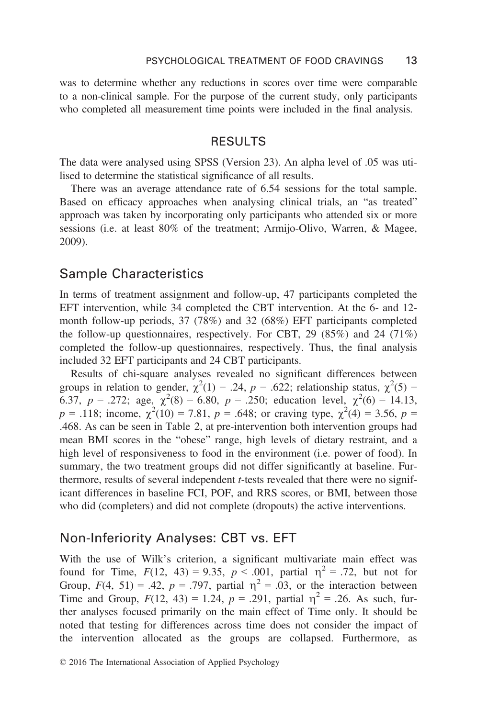was to determine whether any reductions in scores over time were comparable to a non-clinical sample. For the purpose of the current study, only participants who completed all measurement time points were included in the final analysis.

### RESULTS

The data were analysed using SPSS (Version 23). An alpha level of .05 was utilised to determine the statistical significance of all results.

There was an average attendance rate of 6.54 sessions for the total sample. Based on efficacy approaches when analysing clinical trials, an "as treated" approach was taken by incorporating only participants who attended six or more sessions (i.e. at least 80% of the treatment; Armijo-Olivo, Warren, & Magee, 2009).

# Sample Characteristics

In terms of treatment assignment and follow-up, 47 participants completed the EFT intervention, while 34 completed the CBT intervention. At the 6- and 12 month follow-up periods, 37 (78%) and 32 (68%) EFT participants completed the follow-up questionnaires, respectively. For CBT, 29 (85%) and 24 (71%) completed the follow-up questionnaires, respectively. Thus, the final analysis included 32 EFT participants and 24 CBT participants.

Results of chi-square analyses revealed no significant differences between groups in relation to gender,  $\chi^2(1) = .24$ ,  $p = .622$ ; relationship status,  $\chi^2(5) =$ 6.37,  $p = .272$ ; age,  $\chi^2(8) = 6.80$ ,  $p = .250$ ; education level,  $\chi^2(6) = 14.13$ ,  $p = .118$ ; income,  $\chi^2(10) = 7.81$ ,  $p = .648$ ; or craving type,  $\chi^2(4) = 3.56$ ,  $p =$ .468. As can be seen in Table 2, at pre-intervention both intervention groups had mean BMI scores in the "obese" range, high levels of dietary restraint, and a high level of responsiveness to food in the environment (i.e. power of food). In summary, the two treatment groups did not differ significantly at baseline. Furthermore, results of several independent t-tests revealed that there were no significant differences in baseline FCI, POF, and RRS scores, or BMI, between those who did (completers) and did not complete (dropouts) the active interventions.

### Non-Inferiority Analyses: CBT vs. EFT

With the use of Wilk's criterion, a significant multivariate main effect was found for Time,  $F(12, 43) = 9.35, p < .001$ , partial  $\eta^2 = .72$ , but not for Group,  $F(4, 51) = .42$ ,  $p = .797$ , partial  $\eta^2 = .03$ , or the interaction between Time and Group,  $F(12, 43) = 1.24$ ,  $p = .291$ , partial  $\eta^2 = .26$ . As such, further analyses focused primarily on the main effect of Time only. It should be noted that testing for differences across time does not consider the impact of the intervention allocated as the groups are collapsed. Furthermore, as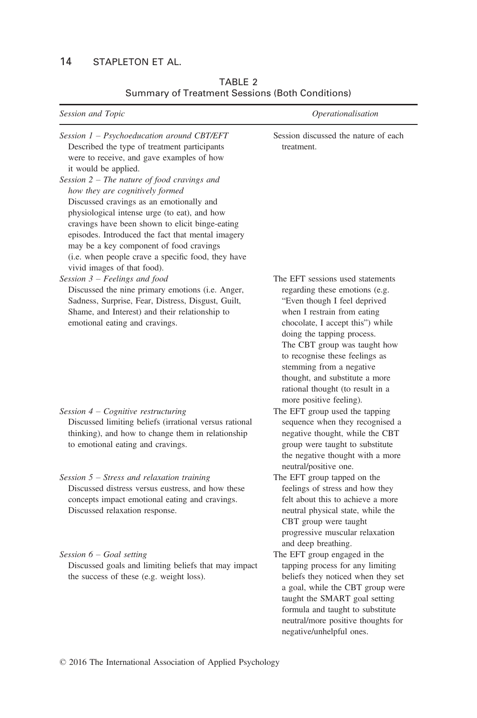### TABLE 2 Summary of Treatment Sessions (Both Conditions)

| Session and Topic                                                                                                                                                                                                                                                                                                                                                                                                    | Operationalisation                                                                                                                                                                                                                                                                                                                                                                                 |
|----------------------------------------------------------------------------------------------------------------------------------------------------------------------------------------------------------------------------------------------------------------------------------------------------------------------------------------------------------------------------------------------------------------------|----------------------------------------------------------------------------------------------------------------------------------------------------------------------------------------------------------------------------------------------------------------------------------------------------------------------------------------------------------------------------------------------------|
| Session 1 - Psychoeducation around CBT/EFT<br>Described the type of treatment participants<br>were to receive, and gave examples of how<br>it would be applied.                                                                                                                                                                                                                                                      | Session discussed the nature of each<br>treatment.                                                                                                                                                                                                                                                                                                                                                 |
| Session $2$ – The nature of food cravings and<br>how they are cognitively formed<br>Discussed cravings as an emotionally and<br>physiological intense urge (to eat), and how<br>cravings have been shown to elicit binge-eating<br>episodes. Introduced the fact that mental imagery<br>may be a key component of food cravings<br>(i.e. when people crave a specific food, they have<br>vivid images of that food). |                                                                                                                                                                                                                                                                                                                                                                                                    |
| Session 3 - Feelings and food<br>Discussed the nine primary emotions (i.e. Anger,<br>Sadness, Surprise, Fear, Distress, Disgust, Guilt,<br>Shame, and Interest) and their relationship to<br>emotional eating and cravings.                                                                                                                                                                                          | The EFT sessions used statements<br>regarding these emotions (e.g.<br>"Even though I feel deprived<br>when I restrain from eating<br>chocolate, I accept this") while<br>doing the tapping process.<br>The CBT group was taught how<br>to recognise these feelings as<br>stemming from a negative<br>thought, and substitute a more<br>rational thought (to result in a<br>more positive feeling). |
| Session $4$ – Cognitive restructuring<br>Discussed limiting beliefs (irrational versus rational<br>thinking), and how to change them in relationship<br>to emotional eating and cravings.                                                                                                                                                                                                                            | The EFT group used the tapping<br>sequence when they recognised a<br>negative thought, while the CBT<br>group were taught to substitute<br>the negative thought with a more<br>neutral/positive one.                                                                                                                                                                                               |
| Session $5$ – Stress and relaxation training<br>Discussed distress versus eustress, and how these<br>concepts impact emotional eating and cravings.<br>Discussed relaxation response.                                                                                                                                                                                                                                | The EFT group tapped on the<br>feelings of stress and how they<br>felt about this to achieve a more<br>neutral physical state, while the<br>CBT group were taught<br>progressive muscular relaxation<br>and deep breathing.                                                                                                                                                                        |
| Session $6 - Goal$ setting<br>Discussed goals and limiting beliefs that may impact<br>the success of these (e.g. weight loss).                                                                                                                                                                                                                                                                                       | The EFT group engaged in the<br>tapping process for any limiting<br>beliefs they noticed when they set<br>a goal, while the CBT group were<br>taught the SMART goal setting<br>formula and taught to substitute<br>neutral/more positive thoughts for<br>negative/unhelpful ones.                                                                                                                  |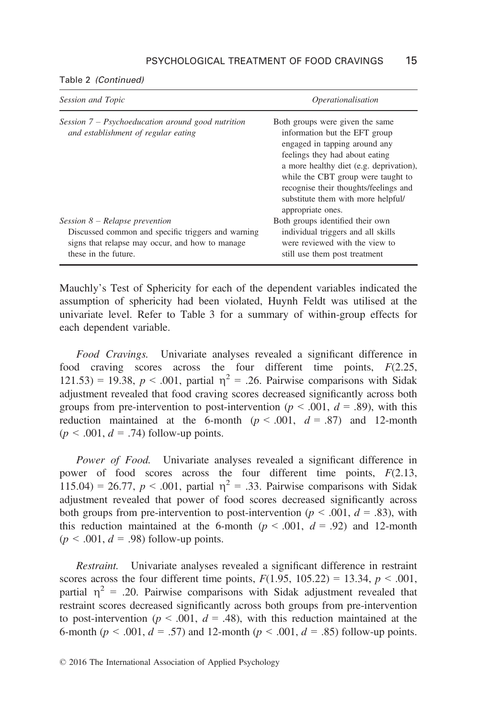| Table 2 (Continued) |  |
|---------------------|--|
|---------------------|--|

| Session and Topic                                                                                                                                                 | <i><b>Operationalisation</b></i>                                                                                                                                                                                                                                                                                         |  |  |  |
|-------------------------------------------------------------------------------------------------------------------------------------------------------------------|--------------------------------------------------------------------------------------------------------------------------------------------------------------------------------------------------------------------------------------------------------------------------------------------------------------------------|--|--|--|
| Session $7$ – Psychoeducation around good nutrition<br>and establishment of regular eating                                                                        | Both groups were given the same<br>information but the EFT group<br>engaged in tapping around any<br>feelings they had about eating<br>a more healthy diet (e.g. deprivation),<br>while the CBT group were taught to<br>recognise their thoughts/feelings and<br>substitute them with more helpful/<br>appropriate ones. |  |  |  |
| Session $8$ – Relapse prevention<br>Discussed common and specific triggers and warning<br>signs that relapse may occur, and how to manage<br>these in the future. | Both groups identified their own<br>individual triggers and all skills<br>were reviewed with the view to<br>still use them post treatment                                                                                                                                                                                |  |  |  |

Mauchly's Test of Sphericity for each of the dependent variables indicated the assumption of sphericity had been violated, Huynh Feldt was utilised at the univariate level. Refer to Table 3 for a summary of within-group effects for each dependent variable.

Food Cravings. Univariate analyses revealed a significant difference in food craving scores across the four different time points,  $F(2.25,$ 121.53) = 19.38,  $p < .001$ , partial  $\eta^2 = .26$ . Pairwise comparisons with Sidak adjustment revealed that food craving scores decreased significantly across both groups from pre-intervention to post-intervention ( $p < .001$ ,  $d = .89$ ), with this reduction maintained at the 6-month ( $p < .001$ ,  $d = .87$ ) and 12-month  $(p < .001, d = .74)$  follow-up points.

Power of Food. Univariate analyses revealed a significant difference in power of food scores across the four different time points,  $F(2.13, 1.5)$ 115.04) = 26.77,  $p < .001$ , partial  $\eta^2 = .33$ . Pairwise comparisons with Sidak adjustment revealed that power of food scores decreased significantly across both groups from pre-intervention to post-intervention ( $p < .001$ ,  $d = .83$ ), with this reduction maintained at the 6-month ( $p < .001$ ,  $d = .92$ ) and 12-month  $(p < .001, d = .98)$  follow-up points.

Restraint. Univariate analyses revealed a significant difference in restraint scores across the four different time points,  $F(1.95, 105.22) = 13.34, p < .001$ , partial  $\eta^2$  = .20. Pairwise comparisons with Sidak adjustment revealed that restraint scores decreased significantly across both groups from pre-intervention to post-intervention ( $p < .001$ ,  $d = .48$ ), with this reduction maintained at the 6-month ( $p < .001$ ,  $d = .57$ ) and 12-month ( $p < .001$ ,  $d = .85$ ) follow-up points.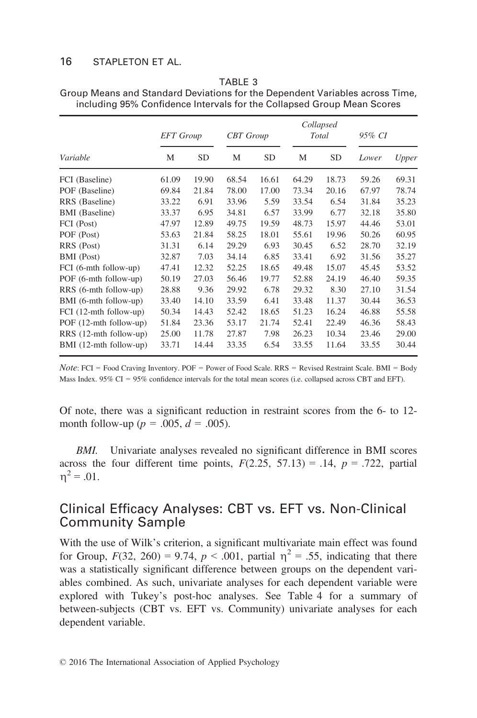|                        | <b>EFT</b> Group |       | <b>CBT</b> Group |       | Collapsed<br>Total |       | 95% CI |       |
|------------------------|------------------|-------|------------------|-------|--------------------|-------|--------|-------|
| Variable               | M                | SD    | М                | SD    | M                  | SD    | Lower  | Upper |
| FCI (Baseline)         | 61.09            | 19.90 | 68.54            | 16.61 | 64.29              | 18.73 | 59.26  | 69.31 |
| POF (Baseline)         | 69.84            | 21.84 | 78.00            | 17.00 | 73.34              | 20.16 | 67.97  | 78.74 |
| RRS (Baseline)         | 33.22            | 6.91  | 33.96            | 5.59  | 33.54              | 6.54  | 31.84  | 35.23 |
| <b>BMI</b> (Baseline)  | 33.37            | 6.95  | 34.81            | 6.57  | 33.99              | 6.77  | 32.18  | 35.80 |
| FCI (Post)             | 47.97            | 12.89 | 49.75            | 19.59 | 48.73              | 15.97 | 44.46  | 53.01 |
| POF (Post)             | 53.63            | 21.84 | 58.25            | 18.01 | 55.61              | 19.96 | 50.26  | 60.95 |
| RRS (Post)             | 31.31            | 6.14  | 29.29            | 6.93  | 30.45              | 6.52  | 28.70  | 32.19 |
| BMI (Post)             | 32.87            | 7.03  | 34.14            | 6.85  | 33.41              | 6.92  | 31.56  | 35.27 |
| FCI (6-mth follow-up)  | 47.41            | 12.32 | 52.25            | 18.65 | 49.48              | 15.07 | 45.45  | 53.52 |
| POF (6-mth follow-up)  | 50.19            | 27.03 | 56.46            | 19.77 | 52.88              | 24.19 | 46.40  | 59.35 |
| RRS (6-mth follow-up)  | 28.88            | 9.36  | 29.92            | 6.78  | 29.32              | 8.30  | 27.10  | 31.54 |
| BMI (6-mth follow-up)  | 33.40            | 14.10 | 33.59            | 6.41  | 33.48              | 11.37 | 30.44  | 36.53 |
| FCI (12-mth follow-up) | 50.34            | 14.43 | 52.42            | 18.65 | 51.23              | 16.24 | 46.88  | 55.58 |
| POF (12-mth follow-up) | 51.84            | 23.36 | 53.17            | 21.74 | 52.41              | 22.49 | 46.36  | 58.43 |
| RRS (12-mth follow-up) | 25.00            | 11.78 | 27.87            | 7.98  | 26.23              | 10.34 | 23.46  | 29.00 |
| BMI (12-mth follow-up) | 33.71            | 14.44 | 33.35            | 6.54  | 33.55              | 11.64 | 33.55  | 30.44 |

TABLE 3 Group Means and Standard Deviations for the Dependent Variables across Time, including 95% Confidence Intervals for the Collapsed Group Mean Scores

 $Note: FCI = Food Craving Inventory. POF = Power of Food Scale. RRS = Revised Restraint Scale. BMI = Body$ Mass Index. 95% CI = 95% confidence intervals for the total mean scores (i.e. collapsed across CBT and EFT).

Of note, there was a significant reduction in restraint scores from the 6- to 12 month follow-up ( $p = .005$ ,  $d = .005$ ).

BMI. Univariate analyses revealed no significant difference in BMI scores across the four different time points,  $F(2.25, 57.13) = .14$ ,  $p = .722$ , partial  $n^2 = .01$ .

# Clinical Efficacy Analyses: CBT vs. EFT vs. Non-Clinical Community Sample

With the use of Wilk's criterion, a significant multivariate main effect was found for Group,  $F(32, 260) = 9.74$ ,  $p < .001$ , partial  $\eta^2 = .55$ , indicating that there was a statistically significant difference between groups on the dependent variables combined. As such, univariate analyses for each dependent variable were explored with Tukey's post-hoc analyses. See Table 4 for a summary of between-subjects (CBT vs. EFT vs. Community) univariate analyses for each dependent variable.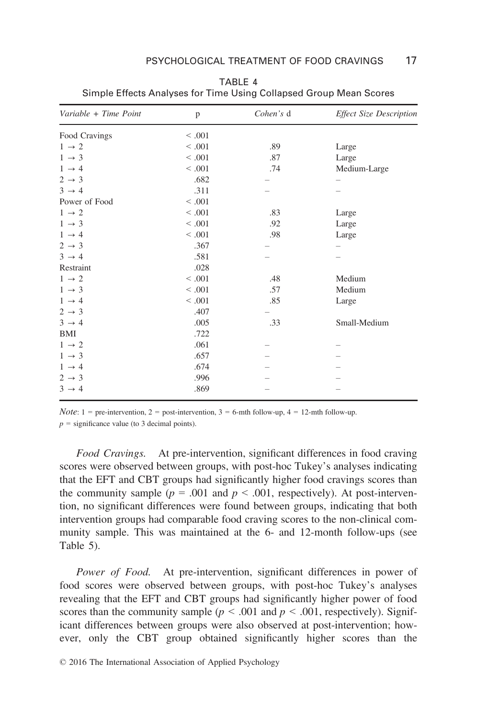| Variable + Time Point | p       | Cohen's d | <b>Effect Size Description</b> |  |  |
|-----------------------|---------|-----------|--------------------------------|--|--|
| Food Cravings         | < 0.001 |           |                                |  |  |
| $1 \rightarrow 2$     | < 0.001 | .89       | Large                          |  |  |
| $1 \rightarrow 3$     | < .001  | .87       | Large                          |  |  |
| $1 \rightarrow 4$     | < .001  | .74       | Medium-Large                   |  |  |
| $2 \rightarrow 3$     | .682    |           |                                |  |  |
| $3 \rightarrow 4$     | .311    |           |                                |  |  |
| Power of Food         | < .001  |           |                                |  |  |
| $1 \rightarrow 2$     | < .001  | .83       | Large                          |  |  |
| $1 \rightarrow 3$     | < 0.001 | .92       | Large                          |  |  |
| $1 \rightarrow 4$     | < .001  | .98       | Large                          |  |  |
| $2 \rightarrow 3$     | .367    |           |                                |  |  |
| $3 \rightarrow 4$     | .581    |           |                                |  |  |
| Restraint             | .028    |           |                                |  |  |
| $1 \rightarrow 2$     | < .001  | .48       | Medium                         |  |  |
| $1 \rightarrow 3$     | < .001  | .57       | Medium                         |  |  |
| $1 \rightarrow 4$     | < .001  | .85       | Large                          |  |  |
| $2 \rightarrow 3$     | .407    |           |                                |  |  |
| $3 \rightarrow 4$     | .005    | .33       | Small-Medium                   |  |  |
| <b>BMI</b>            | .722    |           |                                |  |  |
| $1 \rightarrow 2$     | .061    |           |                                |  |  |
| $1 \rightarrow 3$     | .657    |           |                                |  |  |
| $1 \rightarrow 4$     | .674    |           |                                |  |  |
| $2 \rightarrow 3$     | .996    |           |                                |  |  |
| $3 \rightarrow 4$     | .869    |           |                                |  |  |
|                       |         |           |                                |  |  |

TABLE 4 Simple Effects Analyses for Time Using Collapsed Group Mean Scores

Note:  $1 =$  pre-intervention,  $2 =$  post-intervention,  $3 = 6$ -mth follow-up,  $4 = 12$ -mth follow-up.  $p =$  significance value (to 3 decimal points).

Food Cravings. At pre-intervention, significant differences in food craving scores were observed between groups, with post-hoc Tukey's analyses indicating that the EFT and CBT groups had significantly higher food cravings scores than the community sample ( $p = .001$  and  $p < .001$ , respectively). At post-intervention, no significant differences were found between groups, indicating that both intervention groups had comparable food craving scores to the non-clinical community sample. This was maintained at the 6- and 12-month follow-ups (see Table 5).

Power of Food. At pre-intervention, significant differences in power of food scores were observed between groups, with post-hoc Tukey's analyses revealing that the EFT and CBT groups had significantly higher power of food scores than the community sample ( $p < .001$  and  $p < .001$ , respectively). Significant differences between groups were also observed at post-intervention; however, only the CBT group obtained significantly higher scores than the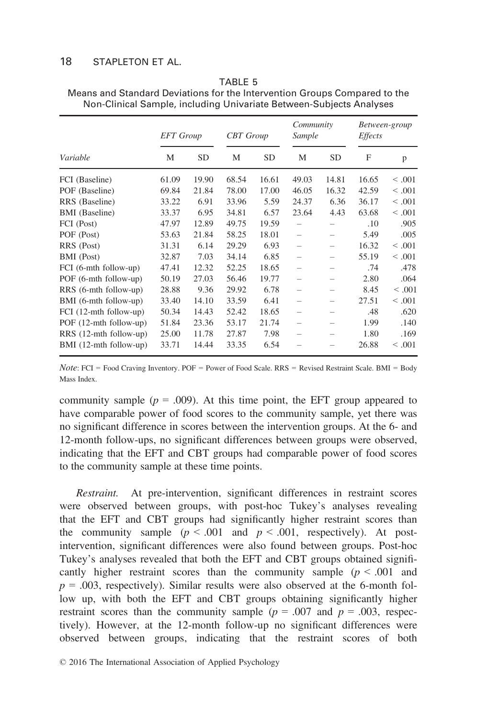| Variable               | <b>EFT</b> Group |           | <b>CBT</b> Group |           | Community<br>Sample      |           | Between-group<br><i>Effects</i> |         |
|------------------------|------------------|-----------|------------------|-----------|--------------------------|-----------|---------------------------------|---------|
|                        | M                | <b>SD</b> | M                | <b>SD</b> | M                        | <b>SD</b> | F                               | p       |
| FCI (Baseline)         | 61.09            | 19.90     | 68.54            | 16.61     | 49.03                    | 14.81     | 16.65                           | < 0.001 |
| POF (Baseline)         | 69.84            | 21.84     | 78.00            | 17.00     | 46.05                    | 16.32     | 42.59                           | < 0.001 |
| RRS (Baseline)         | 33.22            | 6.91      | 33.96            | 5.59      | 24.37                    | 6.36      | 36.17                           | < 0.001 |
| <b>BMI</b> (Baseline)  | 33.37            | 6.95      | 34.81            | 6.57      | 23.64                    | 4.43      | 63.68                           | < 0.001 |
| FCI (Post)             | 47.97            | 12.89     | 49.75            | 19.59     |                          |           | .10                             | .905    |
| POF (Post)             | 53.63            | 21.84     | 58.25            | 18.01     |                          |           | 5.49                            | .005    |
| RRS (Post)             | 31.31            | 6.14      | 29.29            | 6.93      |                          |           | 16.32                           | < 0.001 |
| BMI (Post)             | 32.87            | 7.03      | 34.14            | 6.85      | -                        |           | 55.19                           | < 0.001 |
| FCI (6-mth follow-up)  | 47.41            | 12.32     | 52.25            | 18.65     | $\overline{\phantom{0}}$ |           | .74                             | .478    |
| POF (6-mth follow-up)  | 50.19            | 27.03     | 56.46            | 19.77     | $\overline{\phantom{0}}$ |           | 2.80                            | .064    |
| RRS (6-mth follow-up)  | 28.88            | 9.36      | 29.92            | 6.78      |                          |           | 8.45                            | < 0.001 |
| BMI (6-mth follow-up)  | 33.40            | 14.10     | 33.59            | 6.41      | -                        |           | 27.51                           | < 0.001 |
| FCI (12-mth follow-up) | 50.34            | 14.43     | 52.42            | 18.65     | $\overline{\phantom{0}}$ |           | .48                             | .620    |
| POF (12-mth follow-up) | 51.84            | 23.36     | 53.17            | 21.74     |                          |           | 1.99                            | .140    |
| RRS (12-mth follow-up) | 25.00            | 11.78     | 27.87            | 7.98      | -                        |           | 1.80                            | .169    |
| BMI (12-mth follow-up) | 33.71            | 14.44     | 33.35            | 6.54      |                          |           | 26.88                           | < 0.001 |

TABLE 5 Means and Standard Deviations for the Intervention Groups Compared to the Non-Clinical Sample, including Univariate Between-Subjects Analyses

 $Note: FCI = Food Craving Inventory. POF = Power of Food Scale. RRS = Revised Restraint Scale. BMI = Body$ Mass Index.

community sample ( $p = .009$ ). At this time point, the EFT group appeared to have comparable power of food scores to the community sample, yet there was no significant difference in scores between the intervention groups. At the 6- and 12-month follow-ups, no significant differences between groups were observed, indicating that the EFT and CBT groups had comparable power of food scores to the community sample at these time points.

Restraint. At pre-intervention, significant differences in restraint scores were observed between groups, with post-hoc Tukey's analyses revealing that the EFT and CBT groups had significantly higher restraint scores than the community sample ( $p < .001$  and  $p < .001$ , respectively). At postintervention, significant differences were also found between groups. Post-hoc Tukey's analyses revealed that both the EFT and CBT groups obtained significantly higher restraint scores than the community sample  $(p < .001$  and  $p = .003$ , respectively). Similar results were also observed at the 6-month follow up, with both the EFT and CBT groups obtaining significantly higher restraint scores than the community sample ( $p = .007$  and  $p = .003$ , respectively). However, at the 12-month follow-up no significant differences were observed between groups, indicating that the restraint scores of both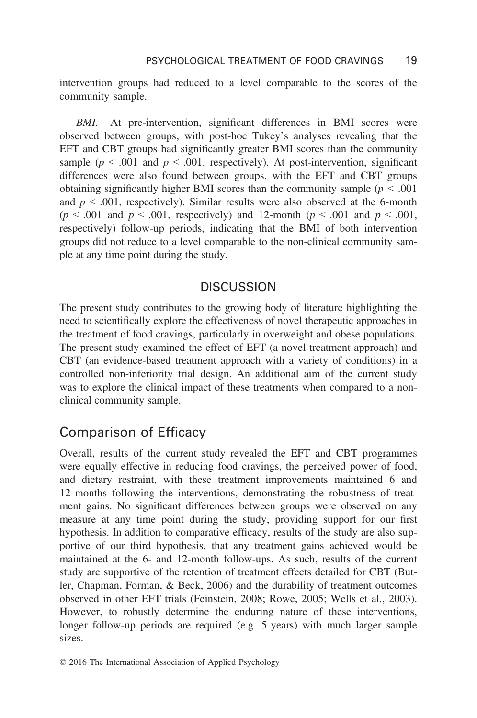intervention groups had reduced to a level comparable to the scores of the community sample.

BMI. At pre-intervention, significant differences in BMI scores were observed between groups, with post-hoc Tukey's analyses revealing that the EFT and CBT groups had significantly greater BMI scores than the community sample ( $p < .001$  and  $p < .001$ , respectively). At post-intervention, significant differences were also found between groups, with the EFT and CBT groups obtaining significantly higher BMI scores than the community sample ( $p < .001$ ) and  $p \leq 0.001$ , respectively). Similar results were also observed at the 6-month  $(p \leq .001$  and  $p \leq .001$ , respectively) and 12-month  $(p \leq .001$  and  $p \leq .001$ , respectively) follow-up periods, indicating that the BMI of both intervention groups did not reduce to a level comparable to the non-clinical community sample at any time point during the study.

### **DISCUSSION**

The present study contributes to the growing body of literature highlighting the need to scientifically explore the effectiveness of novel therapeutic approaches in the treatment of food cravings, particularly in overweight and obese populations. The present study examined the effect of EFT (a novel treatment approach) and CBT (an evidence-based treatment approach with a variety of conditions) in a controlled non-inferiority trial design. An additional aim of the current study was to explore the clinical impact of these treatments when compared to a nonclinical community sample.

# Comparison of Efficacy

Overall, results of the current study revealed the EFT and CBT programmes were equally effective in reducing food cravings, the perceived power of food, and dietary restraint, with these treatment improvements maintained 6 and 12 months following the interventions, demonstrating the robustness of treatment gains. No significant differences between groups were observed on any measure at any time point during the study, providing support for our first hypothesis. In addition to comparative efficacy, results of the study are also supportive of our third hypothesis, that any treatment gains achieved would be maintained at the 6- and 12-month follow-ups. As such, results of the current study are supportive of the retention of treatment effects detailed for CBT (Butler, Chapman, Forman, & Beck, 2006) and the durability of treatment outcomes observed in other EFT trials (Feinstein, 2008; Rowe, 2005; Wells et al., 2003). However, to robustly determine the enduring nature of these interventions, longer follow-up periods are required (e.g. 5 years) with much larger sample sizes.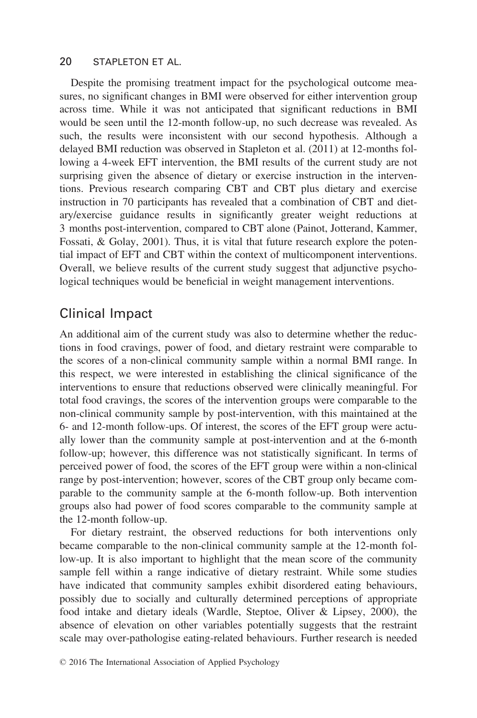Despite the promising treatment impact for the psychological outcome measures, no significant changes in BMI were observed for either intervention group across time. While it was not anticipated that significant reductions in BMI would be seen until the 12-month follow-up, no such decrease was revealed. As such, the results were inconsistent with our second hypothesis. Although a delayed BMI reduction was observed in Stapleton et al. (2011) at 12-months following a 4-week EFT intervention, the BMI results of the current study are not surprising given the absence of dietary or exercise instruction in the interventions. Previous research comparing CBT and CBT plus dietary and exercise instruction in 70 participants has revealed that a combination of CBT and dietary/exercise guidance results in significantly greater weight reductions at 3 months post-intervention, compared to CBT alone (Painot, Jotterand, Kammer, Fossati, & Golay, 2001). Thus, it is vital that future research explore the potential impact of EFT and CBT within the context of multicomponent interventions. Overall, we believe results of the current study suggest that adjunctive psychological techniques would be beneficial in weight management interventions.

# Clinical Impact

An additional aim of the current study was also to determine whether the reductions in food cravings, power of food, and dietary restraint were comparable to the scores of a non-clinical community sample within a normal BMI range. In this respect, we were interested in establishing the clinical significance of the interventions to ensure that reductions observed were clinically meaningful. For total food cravings, the scores of the intervention groups were comparable to the non-clinical community sample by post-intervention, with this maintained at the 6- and 12-month follow-ups. Of interest, the scores of the EFT group were actually lower than the community sample at post-intervention and at the 6-month follow-up; however, this difference was not statistically significant. In terms of perceived power of food, the scores of the EFT group were within a non-clinical range by post-intervention; however, scores of the CBT group only became comparable to the community sample at the 6-month follow-up. Both intervention groups also had power of food scores comparable to the community sample at the 12-month follow-up.

For dietary restraint, the observed reductions for both interventions only became comparable to the non-clinical community sample at the 12-month follow-up. It is also important to highlight that the mean score of the community sample fell within a range indicative of dietary restraint. While some studies have indicated that community samples exhibit disordered eating behaviours, possibly due to socially and culturally determined perceptions of appropriate food intake and dietary ideals (Wardle, Steptoe, Oliver & Lipsey, 2000), the absence of elevation on other variables potentially suggests that the restraint scale may over-pathologise eating-related behaviours. Further research is needed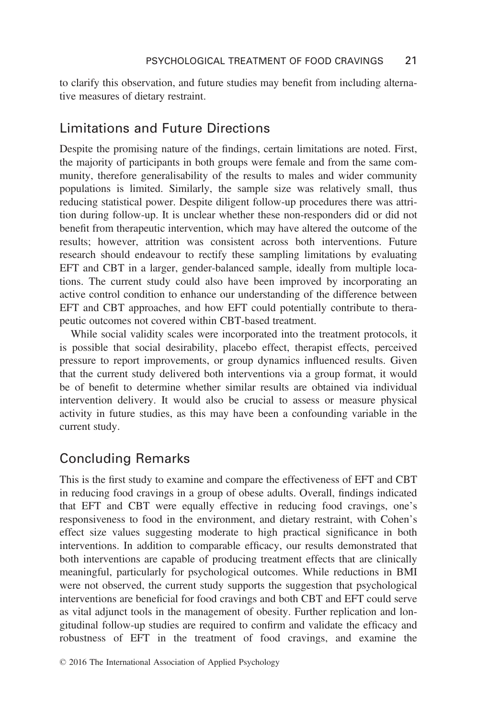to clarify this observation, and future studies may benefit from including alternative measures of dietary restraint.

# Limitations and Future Directions

Despite the promising nature of the findings, certain limitations are noted. First, the majority of participants in both groups were female and from the same community, therefore generalisability of the results to males and wider community populations is limited. Similarly, the sample size was relatively small, thus reducing statistical power. Despite diligent follow-up procedures there was attrition during follow-up. It is unclear whether these non-responders did or did not benefit from therapeutic intervention, which may have altered the outcome of the results; however, attrition was consistent across both interventions. Future research should endeavour to rectify these sampling limitations by evaluating EFT and CBT in a larger, gender-balanced sample, ideally from multiple locations. The current study could also have been improved by incorporating an active control condition to enhance our understanding of the difference between EFT and CBT approaches, and how EFT could potentially contribute to therapeutic outcomes not covered within CBT-based treatment.

While social validity scales were incorporated into the treatment protocols, it is possible that social desirability, placebo effect, therapist effects, perceived pressure to report improvements, or group dynamics influenced results. Given that the current study delivered both interventions via a group format, it would be of benefit to determine whether similar results are obtained via individual intervention delivery. It would also be crucial to assess or measure physical activity in future studies, as this may have been a confounding variable in the current study.

# Concluding Remarks

This is the first study to examine and compare the effectiveness of EFT and CBT in reducing food cravings in a group of obese adults. Overall, findings indicated that EFT and CBT were equally effective in reducing food cravings, one's responsiveness to food in the environment, and dietary restraint, with Cohen's effect size values suggesting moderate to high practical significance in both interventions. In addition to comparable efficacy, our results demonstrated that both interventions are capable of producing treatment effects that are clinically meaningful, particularly for psychological outcomes. While reductions in BMI were not observed, the current study supports the suggestion that psychological interventions are beneficial for food cravings and both CBT and EFT could serve as vital adjunct tools in the management of obesity. Further replication and longitudinal follow-up studies are required to confirm and validate the efficacy and robustness of EFT in the treatment of food cravings, and examine the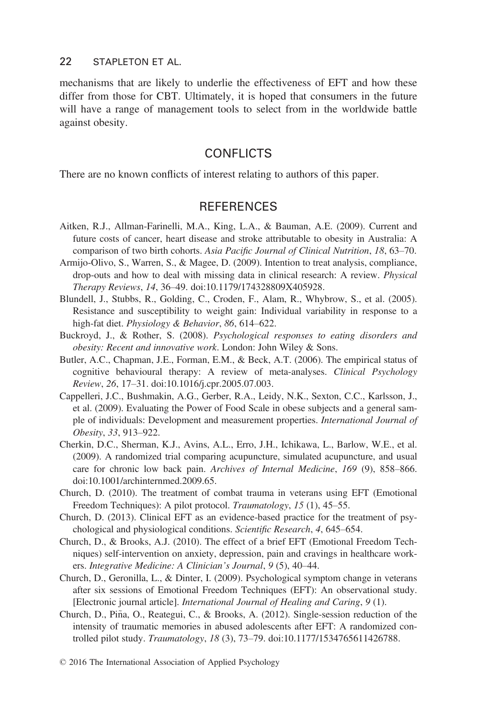mechanisms that are likely to underlie the effectiveness of EFT and how these differ from those for CBT. Ultimately, it is hoped that consumers in the future will have a range of management tools to select from in the worldwide battle against obesity.

# CONFLICTS

There are no known conflicts of interest relating to authors of this paper.

#### **REFERENCES**

- Aitken, R.J., Allman-Farinelli, M.A., King, L.A., & Bauman, A.E. (2009). Current and future costs of cancer, heart disease and stroke attributable to obesity in Australia: A comparison of two birth cohorts. Asia Pacific Journal of Clinical Nutrition, 18, 63–70.
- Armijo-Olivo, S., Warren, S., & Magee, D. (2009). Intention to treat analysis, compliance, drop-outs and how to deal with missing data in clinical research: A review. Physical Therapy Reviews, 14, 36–49. doi[:10.1179/174328809X405928](http://dx.doi.org/10.1179/174328809X405928).
- Blundell, J., Stubbs, R., Golding, C., Croden, F., Alam, R., Whybrow, S., et al. (2005). Resistance and susceptibility to weight gain: Individual variability in response to a high-fat diet. Physiology & Behavior, 86, 614–622.
- Buckroyd, J., & Rother, S. (2008). Psychological responses to eating disorders and obesity: Recent and innovative work. London: John Wiley & Sons.
- Butler, A.C., Chapman, J.E., Forman, E.M., & Beck, A.T. (2006). The empirical status of cognitive behavioural therapy: A review of meta-analyses. Clinical Psychology Review, 26, 17–31. doi:[10.1016/j.cpr.2005.07.003](http://dx.doi.org/10.1016/j.cpr.2005.07.003).
- Cappelleri, J.C., Bushmakin, A.G., Gerber, R.A., Leidy, N.K., Sexton, C.C., Karlsson, J., et al. (2009). Evaluating the Power of Food Scale in obese subjects and a general sample of individuals: Development and measurement properties. International Journal of Obesity, 33, 913–922.
- Cherkin, D.C., Sherman, K.J., Avins, A.L., Erro, J.H., Ichikawa, L., Barlow, W.E., et al. (2009). A randomized trial comparing acupuncture, simulated acupuncture, and usual care for chronic low back pain. Archives of Internal Medicine, 169 (9), 858–866. doi:[10.1001/archinternmed.2009.65.](http://dx.doi.org/10.1001/archinternmed.2009.65)
- Church, D. (2010). The treatment of combat trauma in veterans using EFT (Emotional Freedom Techniques): A pilot protocol. Traumatology, 15 (1), 45–55.
- Church, D. (2013). Clinical EFT as an evidence-based practice for the treatment of psychological and physiological conditions. Scientific Research, 4, 645–654.
- Church, D., & Brooks, A.J. (2010). The effect of a brief EFT (Emotional Freedom Techniques) self-intervention on anxiety, depression, pain and cravings in healthcare workers. Integrative Medicine: A Clinician's Journal, 9 (5), 40–44.
- Church, D., Geronilla, L., & Dinter, I. (2009). Psychological symptom change in veterans after six sessions of Emotional Freedom Techniques (EFT): An observational study. [Electronic journal article]. International Journal of Healing and Caring, 9 (1).
- Church, D., Piña, O., Reategui, C., & Brooks, A. (2012). Single-session reduction of the intensity of traumatic memories in abused adolescents after EFT: A randomized controlled pilot study. Traumatology, 18 (3), 73–79. doi[:10.1177/1534765611426788.](http://dx.doi.org/10.1177/1534765611426788)

© 2016 The International Association of Applied Psychology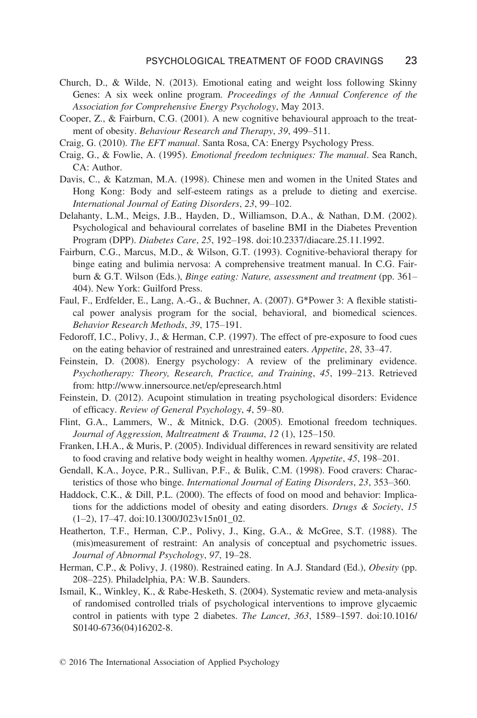- Church, D., & Wilde, N. (2013). Emotional eating and weight loss following Skinny Genes: A six week online program. Proceedings of the Annual Conference of the Association for Comprehensive Energy Psychology, May 2013.
- Cooper, Z., & Fairburn, C.G. (2001). A new cognitive behavioural approach to the treatment of obesity. Behaviour Research and Therapy, 39, 499–511.
- Craig, G. (2010). The EFT manual. Santa Rosa, CA: Energy Psychology Press.
- Craig, G., & Fowlie, A. (1995). Emotional freedom techniques: The manual. Sea Ranch, CA: Author.
- Davis, C., & Katzman, M.A. (1998). Chinese men and women in the United States and Hong Kong: Body and self-esteem ratings as a prelude to dieting and exercise. International Journal of Eating Disorders, 23, 99–102.
- Delahanty, L.M., Meigs, J.B., Hayden, D., Williamson, D.A., & Nathan, D.M. (2002). Psychological and behavioural correlates of baseline BMI in the Diabetes Prevention Program (DPP). Diabetes Care, 25, 192–198. doi:[10.2337/diacare.25.11.1992](http://dx.doi.org/10.2337/diacare.25.11.1992).
- Fairburn, C.G., Marcus, M.D., & Wilson, G.T. (1993). Cognitive-behavioral therapy for binge eating and bulimia nervosa: A comprehensive treatment manual. In C.G. Fairburn & G.T. Wilson (Eds.), Binge eating: Nature, assessment and treatment (pp. 361– 404). New York: Guilford Press.
- Faul, F., Erdfelder, E., Lang, A.-G., & Buchner, A. (2007). G\*Power 3: A flexible statistical power analysis program for the social, behavioral, and biomedical sciences. Behavior Research Methods, 39, 175–191.
- Fedoroff, I.C., Polivy, J., & Herman, C.P. (1997). The effect of pre-exposure to food cues on the eating behavior of restrained and unrestrained eaters. Appetite, 28, 33–47.
- Feinstein, D. (2008). Energy psychology: A review of the preliminary evidence. Psychotherapy: Theory, Research, Practice, and Training, 45, 199–213. Retrieved from:<http://www.innersource.net/ep/epresearch.html>
- Feinstein, D. (2012). Acupoint stimulation in treating psychological disorders: Evidence of efficacy. Review of General Psychology, 4, 59–80.
- Flint, G.A., Lammers, W., & Mitnick, D.G. (2005). Emotional freedom techniques. Journal of Aggression, Maltreatment & Trauma, 12 (1), 125–150.
- Franken, I.H.A., & Muris, P. (2005). Individual differences in reward sensitivity are related to food craving and relative body weight in healthy women. Appetite, 45, 198–201.
- Gendall, K.A., Joyce, P.R., Sullivan, P.F., & Bulik, C.M. (1998). Food cravers: Characteristics of those who binge. International Journal of Eating Disorders, 23, 353–360.
- Haddock, C.K., & Dill, P.L. (2000). The effects of food on mood and behavior: Implications for the addictions model of obesity and eating disorders. Drugs & Society, 15 (1–2), 17–47. doi:[10.1300/J023v15n01\\_02](http://dx.doi.org/10.1300/J023v15n01_02).
- Heatherton, T.F., Herman, C.P., Polivy, J., King, G.A., & McGree, S.T. (1988). The (mis)measurement of restraint: An analysis of conceptual and psychometric issues. Journal of Abnormal Psychology, 97, 19–28.
- Herman, C.P., & Polivy, J. (1980). Restrained eating. In A.J. Standard (Ed.), Obesity (pp. 208–225). Philadelphia, PA: W.B. Saunders.
- Ismail, K., Winkley, K., & Rabe-Hesketh, S. (2004). Systematic review and meta-analysis of randomised controlled trials of psychological interventions to improve glycaemic control in patients with type 2 diabetes. The Lancet, 363, 1589–1597. doi[:10.1016/](http://dx.doi.org/10.1016/S0140-6736(04)16202-8) [S0140-6736\(04\)16202-8](http://dx.doi.org/10.1016/S0140-6736(04)16202-8).

<sup>©</sup> 2016 The International Association of Applied Psychology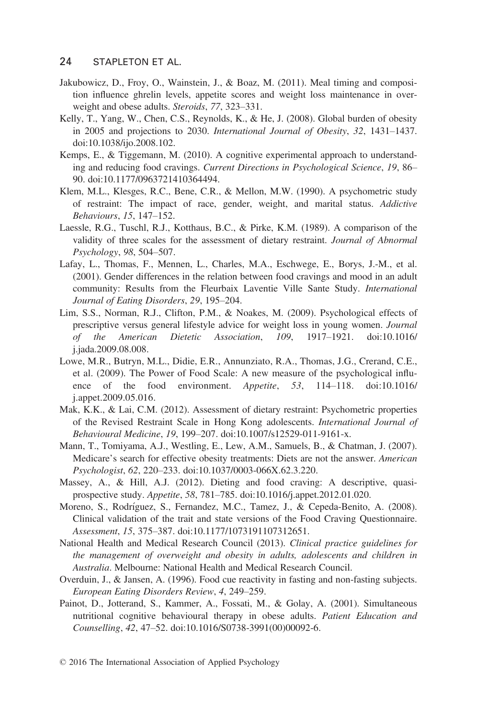- Jakubowicz, D., Froy, O., Wainstein, J., & Boaz, M. (2011). Meal timing and composition influence ghrelin levels, appetite scores and weight loss maintenance in overweight and obese adults. Steroids, 77, 323–331.
- Kelly, T., Yang, W., Chen, C.S., Reynolds, K., & He, J. (2008). Global burden of obesity in 2005 and projections to 2030. International Journal of Obesity, 32, 1431–1437. doi:[10.1038/ijo.2008.102](http://dx.doi.org/10.1038/ijo.2008.102).
- Kemps, E., & Tiggemann, M. (2010). A cognitive experimental approach to understanding and reducing food cravings. Current Directions in Psychological Science, 19, 86– 90. doi[:10.1177/0963721410364494.](http://dx.doi.org/10.1177/0963721410364494)
- Klem, M.L., Klesges, R.C., Bene, C.R., & Mellon, M.W. (1990). A psychometric study of restraint: The impact of race, gender, weight, and marital status. Addictive Behaviours, 15, 147–152.
- Laessle, R.G., Tuschl, R.J., Kotthaus, B.C., & Pirke, K.M. (1989). A comparison of the validity of three scales for the assessment of dietary restraint. Journal of Abnormal Psychology, 98, 504–507.
- Lafay, L., Thomas, F., Mennen, L., Charles, M.A., Eschwege, E., Borys, J.-M., et al. (2001). Gender differences in the relation between food cravings and mood in an adult community: Results from the Fleurbaix Laventie Ville Sante Study. International Journal of Eating Disorders, 29, 195–204.
- Lim, S.S., Norman, R.J., Clifton, P.M., & Noakes, M. (2009). Psychological effects of prescriptive versus general lifestyle advice for weight loss in young women. Journal of the American Dietetic Association, 109, 1917–1921. doi[:10.1016/](http://dx.doi.org/10.1016/j.jada.2009.08.008) [j.jada.2009.08.008](http://dx.doi.org/10.1016/j.jada.2009.08.008).
- Lowe, M.R., Butryn, M.L., Didie, E.R., Annunziato, R.A., Thomas, J.G., Crerand, C.E., et al. (2009). The Power of Food Scale: A new measure of the psychological influ-ence of the food environment. Appetite, 53, 114–118. doi:[10.1016/](http://dx.doi.org/10.1016/j.appet.2009.05.016) [j.appet.2009.05.016.](http://dx.doi.org/10.1016/j.appet.2009.05.016)
- Mak, K.K., & Lai, C.M. (2012). Assessment of dietary restraint: Psychometric properties of the Revised Restraint Scale in Hong Kong adolescents. International Journal of Behavioural Medicine, 19, 199–207. doi[:10.1007/s12529-011-9161-x](http://dx.doi.org/10.1007/s12529-011-9161-x).
- Mann, T., Tomiyama, A.J., Westling, E., Lew, A.M., Samuels, B., & Chatman, J. (2007). Medicare's search for effective obesity treatments: Diets are not the answer. American Psychologist, 62, 220–233. doi[:10.1037/0003-066X.62.3.220](http://dx.doi.org/10.1037/0003-066X.62.3.220).
- Massey, A., & Hill, A.J. (2012). Dieting and food craving: A descriptive, quasiprospective study. Appetite, 58, 781–785. doi:[10.1016/j.appet.2012.01.020](http://dx.doi.org/10.1016/j.appet.2012.01.020).
- Moreno, S., Rodríguez, S., Fernandez, M.C., Tamez, J., & Cepeda-Benito, A. (2008). Clinical validation of the trait and state versions of the Food Craving Questionnaire. Assessment, 15, 375–387. doi[:10.1177/1073191107312651.](http://dx.doi.org/10.1177/1073191107312651)
- National Health and Medical Research Council (2013). Clinical practice guidelines for the management of overweight and obesity in adults, adolescents and children in Australia. Melbourne: National Health and Medical Research Council.
- Overduin, J., & Jansen, A. (1996). Food cue reactivity in fasting and non-fasting subjects. European Eating Disorders Review, 4, 249–259.
- Painot, D., Jotterand, S., Kammer, A., Fossati, M., & Golay, A. (2001). Simultaneous nutritional cognitive behavioural therapy in obese adults. Patient Education and Counselling, 42, 47–52. doi[:10.1016/S0738-3991\(00\)00092-6.](http://dx.doi.org/10.1016/S0738-3991(00)00092-6)

<sup>©</sup> 2016 The International Association of Applied Psychology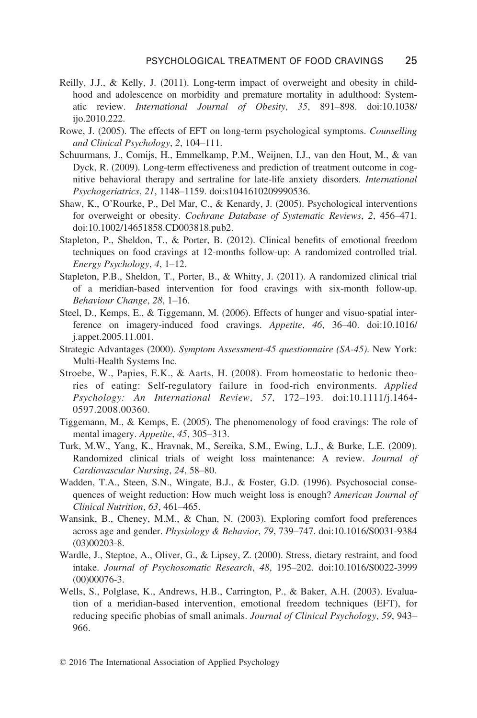- Reilly, J.J., & Kelly, J. (2011). Long-term impact of overweight and obesity in childhood and adolescence on morbidity and premature mortality in adulthood: Systematic review. International Journal of Obesity, 35, 891–898. doi[:10.1038/](http://dx.doi.org/10.1038/ijo.2010.222) [ijo.2010.222.](http://dx.doi.org/10.1038/ijo.2010.222)
- Rowe, J. (2005). The effects of EFT on long-term psychological symptoms. Counselling and Clinical Psychology, 2, 104–111.
- Schuurmans, J., Comijs, H., Emmelkamp, P.M., Weijnen, I.J., van den Hout, M., & van Dyck, R. (2009). Long-term effectiveness and prediction of treatment outcome in cognitive behavioral therapy and sertraline for late-life anxiety disorders. International Psychogeriatrics, 21, 1148–1159. doi[:s1041610209990536](http://dx.doi.org/s1041610209990536).
- Shaw, K., O'Rourke, P., Del Mar, C., & Kenardy, J. (2005). Psychological interventions for overweight or obesity. Cochrane Database of Systematic Reviews, 2, 456–471. doi:[10.1002/14651858.CD003818.pub2.](http://dx.doi.org/10.1002/14651858.CD003818.pub2)
- Stapleton, P., Sheldon, T., & Porter, B. (2012). Clinical benefits of emotional freedom techniques on food cravings at 12-months follow-up: A randomized controlled trial. Energy Psychology, 4, 1–12.
- Stapleton, P.B., Sheldon, T., Porter, B., & Whitty, J. (2011). A randomized clinical trial of a meridian-based intervention for food cravings with six-month follow-up. Behaviour Change, 28, 1–16.
- Steel, D., Kemps, E., & Tiggemann, M. (2006). Effects of hunger and visuo-spatial interference on imagery-induced food cravings. Appetite, 46, 36–40. doi[:10.1016/](http://dx.doi.org/10.1016/j.appet.2005.11.001) [j.appet.2005.11.001.](http://dx.doi.org/10.1016/j.appet.2005.11.001)
- Strategic Advantages (2000). Symptom Assessment-45 questionnaire (SA-45). New York: Multi-Health Systems Inc.
- Stroebe, W., Papies, E.K., & Aarts, H. (2008). From homeostatic to hedonic theories of eating: Self-regulatory failure in food-rich environments. Applied Psychology: An International Review, 57, 172–193. doi:[10.1111/j.1464-](http://dx.doi.org/10.1111/j.1464-0597.2008.00360) [0597.2008.00360](http://dx.doi.org/10.1111/j.1464-0597.2008.00360).
- Tiggemann, M., & Kemps, E. (2005). The phenomenology of food cravings: The role of mental imagery. Appetite, 45, 305–313.
- Turk, M.W., Yang, K., Hravnak, M., Sereika, S.M., Ewing, L.J., & Burke, L.E. (2009). Randomized clinical trials of weight loss maintenance: A review. Journal of Cardiovascular Nursing, 24, 58–80.
- Wadden, T.A., Steen, S.N., Wingate, B.J., & Foster, G.D. (1996). Psychosocial consequences of weight reduction: How much weight loss is enough? American Journal of Clinical Nutrition, 63, 461–465.
- Wansink, B., Cheney, M.M., & Chan, N. (2003). Exploring comfort food preferences across age and gender. Physiology & Behavior, 79, 739–747. doi:[10.1016/S0031-9384](http://dx.doi.org/10.1016/S0031-9384(03)00203-8) [\(03\)00203-8](http://dx.doi.org/10.1016/S0031-9384(03)00203-8).
- Wardle, J., Steptoe, A., Oliver, G., & Lipsey, Z. (2000). Stress, dietary restraint, and food intake. Journal of Psychosomatic Research, 48, 195–202. doi:[10.1016/S0022-3999](http://dx.doi.org/10.1016/S0022-3999(00)00076-3) [\(00\)00076-3](http://dx.doi.org/10.1016/S0022-3999(00)00076-3).
- Wells, S., Polglase, K., Andrews, H.B., Carrington, P., & Baker, A.H. (2003). Evaluation of a meridian-based intervention, emotional freedom techniques (EFT), for reducing specific phobias of small animals. Journal of Clinical Psychology, 59, 943-966.

<sup>©</sup> 2016 The International Association of Applied Psychology